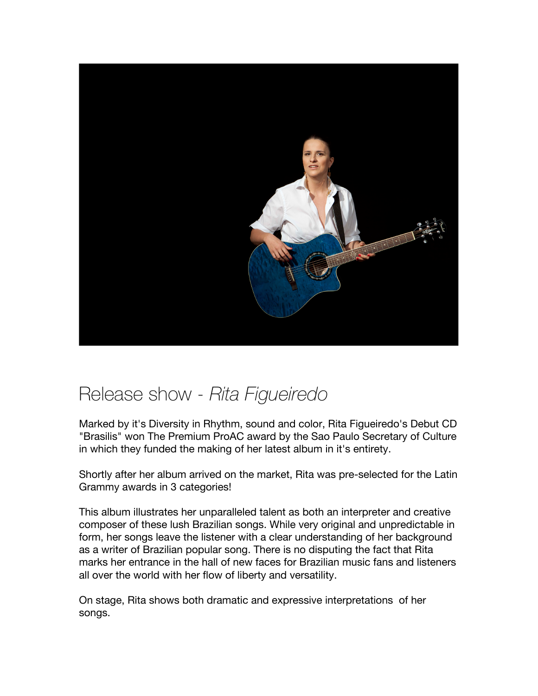

## Release show - *Rita Figueiredo*

Marked by it's Diversity in Rhythm, sound and color, Rita Figueiredo's Debut CD "Brasilis" won The Premium ProAC award by the Sao Paulo Secretary of Culture in which they funded the making of her latest album in it's entirety.

Shortly after her album arrived on the market, Rita was pre-selected for the Latin Grammy awards in 3 categories!

This album illustrates her unparalleled talent as both an interpreter and creative composer of these lush Brazilian songs. While very original and unpredictable in form, her songs leave the listener with a clear understanding of her background as a writer of Brazilian popular song. There is no disputing the fact that Rita marks her entrance in the hall of new faces for Brazilian music fans and listeners all over the world with her flow of liberty and versatility.

On stage, Rita shows both dramatic and expressive interpretations of her songs.